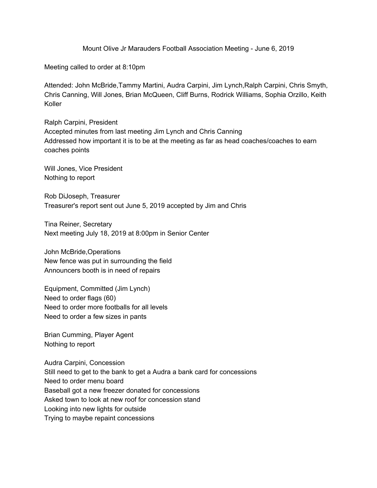Mount Olive Jr Marauders Football Association Meeting - June 6, 2019

Meeting called to order at 8:10pm

Attended: John McBride,Tammy Martini, Audra Carpini, Jim Lynch,Ralph Carpini, Chris Smyth, Chris Canning, Will Jones, Brian McQueen, Cliff Burns, Rodrick Williams, Sophia Orzillo, Keith Koller

Ralph Carpini, President Accepted minutes from last meeting Jim Lynch and Chris Canning Addressed how important it is to be at the meeting as far as head coaches/coaches to earn coaches points

Will Jones, Vice President Nothing to report

Rob DiJoseph, Treasurer Treasurer's report sent out June 5, 2019 accepted by Jim and Chris

Tina Reiner, Secretary Next meeting July 18, 2019 at 8:00pm in Senior Center

John McBride,Operations New fence was put in surrounding the field Announcers booth is in need of repairs

Equipment, Committed (Jim Lynch) Need to order flags (60) Need to order more footballs for all levels Need to order a few sizes in pants

Brian Cumming, Player Agent Nothing to report

Audra Carpini, Concession Still need to get to the bank to get a Audra a bank card for concessions Need to order menu board Baseball got a new freezer donated for concessions Asked town to look at new roof for concession stand Looking into new lights for outside Trying to maybe repaint concessions